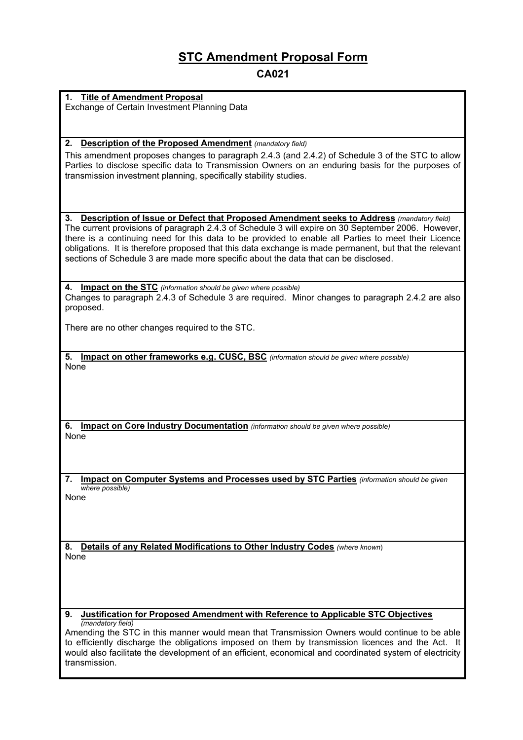# **STC Amendment Proposal Form**

**CA021** 

#### **1. Title of Amendment Proposal**

Exchange of Certain Investment Planning Data

#### **2. Description of the Proposed Amendment** *(mandatory field)*

This amendment proposes changes to paragraph 2.4.3 (and 2.4.2) of Schedule 3 of the STC to allow Parties to disclose specific data to Transmission Owners on an enduring basis for the purposes of transmission investment planning, specifically stability studies.

#### **3. Description of Issue or Defect that Proposed Amendment seeks to Address** *(mandatory field)*

The current provisions of paragraph 2.4.3 of Schedule 3 will expire on 30 September 2006. However, there is a continuing need for this data to be provided to enable all Parties to meet their Licence obligations. It is therefore proposed that this data exchange is made permanent, but that the relevant sections of Schedule 3 are made more specific about the data that can be disclosed.

**4. Impact on the STC** *(information should be given where possible)* Changes to paragraph 2.4.3 of Schedule 3 are required. Minor changes to paragraph 2.4.2 are also proposed.

There are no other changes required to the STC.

**5. Impact on other frameworks e.g. CUSC, BSC** *(information should be given where possible)* None

**6. Impact on Core Industry Documentation** *(information should be given where possible)* None

**7. Impact on Computer Systems and Processes used by STC Parties** *(information should be given where possible)* None

**8. Details of any Related Modifications to Other Industry Codes** *(where known*) None

#### **9. Justification for Proposed Amendment with Reference to Applicable STC Objectives** *(mandatory field)*

Amending the STC in this manner would mean that Transmission Owners would continue to be able to efficiently discharge the obligations imposed on them by transmission licences and the Act. It would also facilitate the development of an efficient, economical and coordinated system of electricity transmission.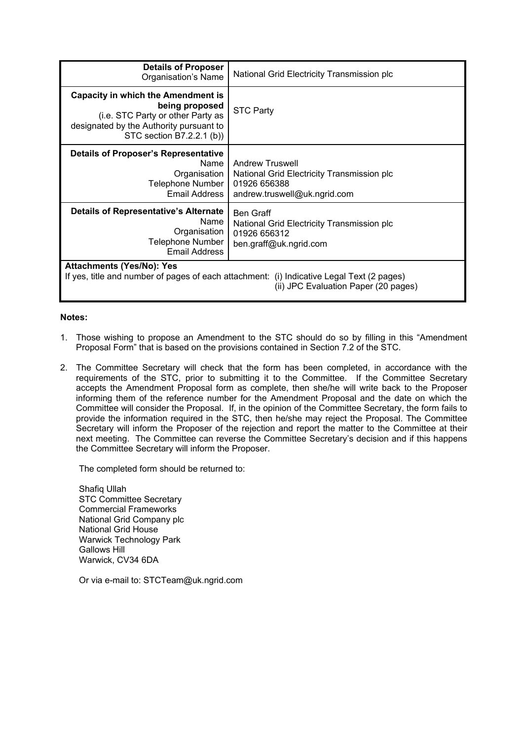| <b>Details of Proposer</b><br>Organisation's Name                                                                                                                        | National Grid Electricity Transmission plc                                                                           |  |  |  |  |  |
|--------------------------------------------------------------------------------------------------------------------------------------------------------------------------|----------------------------------------------------------------------------------------------------------------------|--|--|--|--|--|
| <b>Capacity in which the Amendment is</b><br>being proposed<br>(i.e. STC Party or other Party as<br>designated by the Authority pursuant to<br>STC section B7.2.2.1 (b)) | <b>STC Party</b>                                                                                                     |  |  |  |  |  |
| <b>Details of Proposer's Representative</b><br>Name<br>Organisation<br>Telephone Number<br>Email Address                                                                 | <b>Andrew Truswell</b><br>National Grid Electricity Transmission plc<br>01926 656388<br>andrew.truswell@uk.ngrid.com |  |  |  |  |  |
| <b>Details of Representative's Alternate</b><br>Name<br>Organisation<br>Telephone Number<br>Email Address                                                                | Ben Graff<br>National Grid Electricity Transmission plc<br>01926 656312<br>ben.graff@uk.ngrid.com                    |  |  |  |  |  |
| <b>Attachments (Yes/No): Yes</b><br>If yes, title and number of pages of each attachment: (i) Indicative Legal Text (2 pages)<br>(ii) JPC Evaluation Paper (20 pages)    |                                                                                                                      |  |  |  |  |  |

#### **Notes:**

- 1. Those wishing to propose an Amendment to the STC should do so by filling in this "Amendment Proposal Form" that is based on the provisions contained in Section 7.2 of the STC.
- 2. The Committee Secretary will check that the form has been completed, in accordance with the requirements of the STC, prior to submitting it to the Committee. If the Committee Secretary accepts the Amendment Proposal form as complete, then she/he will write back to the Proposer informing them of the reference number for the Amendment Proposal and the date on which the Committee will consider the Proposal. If, in the opinion of the Committee Secretary, the form fails to provide the information required in the STC, then he/she may reject the Proposal. The Committee Secretary will inform the Proposer of the rejection and report the matter to the Committee at their next meeting. The Committee can reverse the Committee Secretary's decision and if this happens the Committee Secretary will inform the Proposer.

The completed form should be returned to:

Shafiq Ullah STC Committee Secretary Commercial Frameworks National Grid Company plc National Grid House Warwick Technology Park Gallows Hill Warwick, CV34 6DA

Or via e-mail to: STCTeam@uk.ngrid.com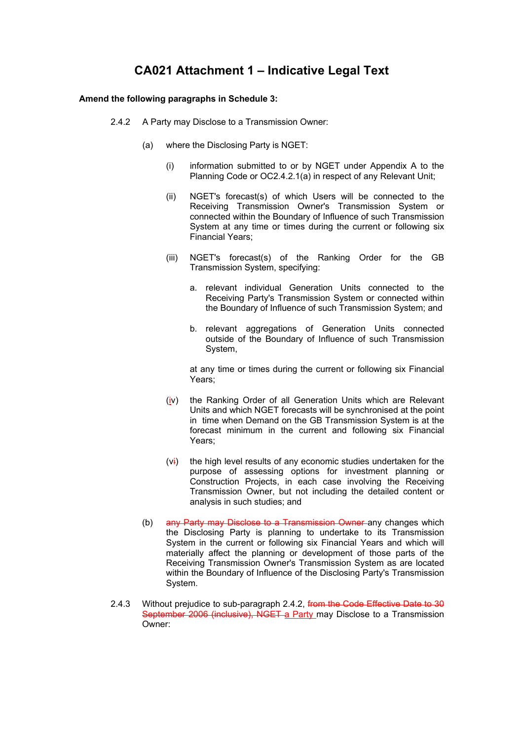## **CA021 Attachment 1 – Indicative Legal Text**

#### **Amend the following paragraphs in Schedule 3:**

- 2.4.2 A Party may Disclose to a Transmission Owner:
	- (a) where the Disclosing Party is NGET:
		- (i) information submitted to or by NGET under Appendix A to the Planning Code or OC2.4.2.1(a) in respect of any Relevant Unit;
		- (ii) NGET's forecast(s) of which Users will be connected to the Receiving Transmission Owner's Transmission System or connected within the Boundary of Influence of such Transmission System at any time or times during the current or following six Financial Years;
		- (iii) NGET's forecast(s) of the Ranking Order for the GB Transmission System, specifying:
			- a. relevant individual Generation Units connected to the Receiving Party's Transmission System or connected within the Boundary of Influence of such Transmission System; and
			- b. relevant aggregations of Generation Units connected outside of the Boundary of Influence of such Transmission System,

at any time or times during the current or following six Financial Years;

- (iv) the Ranking Order of all Generation Units which are Relevant Units and which NGET forecasts will be synchronised at the point in time when Demand on the GB Transmission System is at the forecast minimum in the current and following six Financial Years;
- $(v<sub>i</sub>)$  the high level results of any economic studies undertaken for the purpose of assessing options for investment planning or Construction Projects, in each case involving the Receiving Transmission Owner, but not including the detailed content or analysis in such studies; and
- (b) any Party may Disclose to a Transmission Owner any changes which the Disclosing Party is planning to undertake to its Transmission System in the current or following six Financial Years and which will materially affect the planning or development of those parts of the Receiving Transmission Owner's Transmission System as are located within the Boundary of Influence of the Disclosing Party's Transmission System.
- 2.4.3 Without prejudice to sub-paragraph 2.4.2, from the Code Effective Date to 30 September 2006 (inclusive), NGET a Party may Disclose to a Transmission Owner: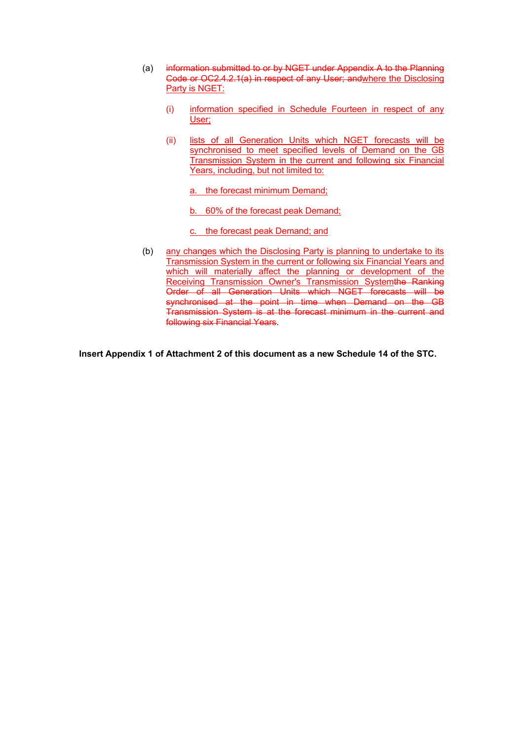- (a) information submitted to or by NGET under Appendix A to the Planning Code or OC2.4.2.1(a) in respect of any User; andwhere the Disclosing Party is NGET:
	- (i) information specified in Schedule Fourteen in respect of any User;
	- (ii) lists of all Generation Units which NGET forecasts will be synchronised to meet specified levels of Demand on the GB Transmission System in the current and following six Financial Years, including, but not limited to:

a. the forecast minimum Demand;

b. 60% of the forecast peak Demand;

c. the forecast peak Demand; and

(b) any changes which the Disclosing Party is planning to undertake to its Transmission System in the current or following six Financial Years and which will materially affect the planning or development of the Receiving Transmission Owner's Transmission Systemthe Ranking Order of all Generation Units which NGET forecasts will be synchronised at the point in time when Demand on the GB Transmission System is at the forecast minimum in the current and following six Financial Years.

**Insert Appendix 1 of Attachment 2 of this document as a new Schedule 14 of the STC.**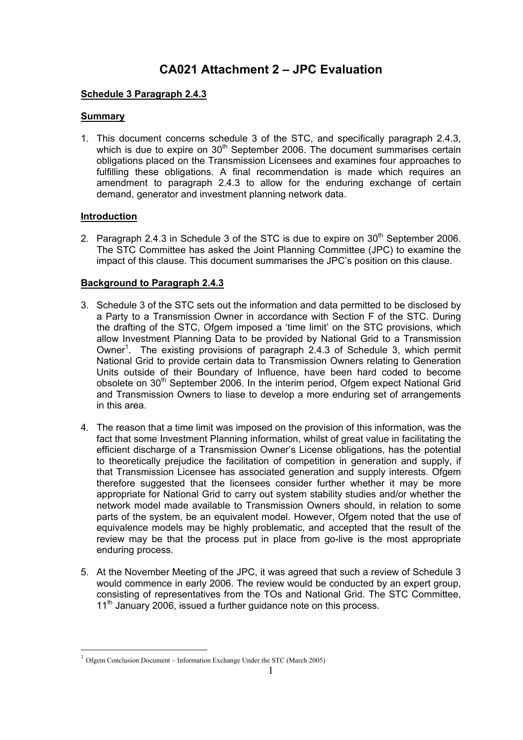## **CA021 Attachment 2 – JPC Evaluation**

#### **Schedule 3 Paragraph 2.4.3**

#### **Summary**

1. This document concerns schedule 3 of the STC, and specifically paragraph 2.4.3, which is due to expire on  $30<sup>th</sup>$  September 2006. The document summarises certain obligations placed on the Transmission Licensees and examines four approaches to fulfilling these obligations. A final recommendation is made which requires an amendment to paragraph 2.4.3 to allow for the enduring exchange of certain demand, generator and investment planning network data.

### **Introduction**

2. Paragraph 2.4.3 in Schedule 3 of the STC is due to expire on  $30<sup>th</sup>$  September 2006. The STC Committee has asked the Joint Planning Committee (JPC) to examine the impact of this clause. This document summarises the JPC's position on this clause.

## **Background to Paragraph 2.4.3**

- 3. Schedule 3 of the STC sets out the information and data permitted to be disclosed by a Party to a Transmission Owner in accordance with Section F of the STC. During the drafting of the STC, Ofgem imposed a 'time limit' on the STC provisions, which allow Investment Planning Data to be provided by National Grid to a Transmission Owner<sup>1</sup>. The existing provisions of paragraph 2.4.3 of Schedule 3, which permit National Grid to provide certain data to Transmission Owners relating to Generation Units outside of their Boundary of Influence, have been hard coded to become obsolete on 30<sup>th</sup> September 2006. In the interim period, Ofgem expect National Grid and Transmission Owners to liase to develop a more enduring set of arrangements in this area.
- 4. The reason that a time limit was imposed on the provision of this information, was the fact that some Investment Planning information, whilst of great value in facilitating the efficient discharge of a Transmission Owner's License obligations, has the potential to theoretically prejudice the facilitation of competition in generation and supply, if that Transmission Licensee has associated generation and supply interests. Ofgem therefore suggested that the licensees consider further whether it may be more appropriate for National Grid to carry out system stability studies and/or whether the network model made available to Transmission Owners should, in relation to some parts of the system, be an equivalent model. However, Ofgem noted that the use of equivalence models may be highly problematic, and accepted that the result of the review may be that the process put in place from go-live is the most appropriate enduring process.
- 5. At the November Meeting of the JPC, it was agreed that such a review of Schedule 3 would commence in early 2006. The review would be conducted by an expert group, consisting of representatives from the TOs and National Grid. The STC Committee, 11<sup>th</sup> January 2006, issued a further quidance note on this process.

<sup>1</sup> Ofgem Conclusion Document – Information Exchange Under the STC (March 2005)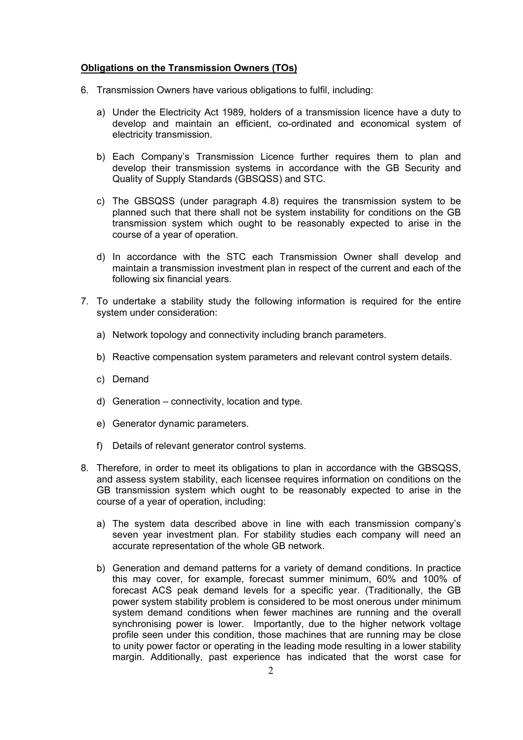#### **Obligations on the Transmission Owners (TOs)**

- 6. Transmission Owners have various obligations to fulfil, including:
	- a) Under the Electricity Act 1989, holders of a transmission licence have a duty to develop and maintain an efficient, co-ordinated and economical system of electricity transmission.
	- b) Each Company's Transmission Licence further requires them to plan and develop their transmission systems in accordance with the GB Security and Quality of Supply Standards (GBSQSS) and STC.
	- c) The GBSQSS (under paragraph 4.8) requires the transmission system to be planned such that there shall not be system instability for conditions on the GB transmission system which ought to be reasonably expected to arise in the course of a year of operation.
	- d) In accordance with the STC each Transmission Owner shall develop and maintain a transmission investment plan in respect of the current and each of the following six financial years.
- 7. To undertake a stability study the following information is required for the entire system under consideration:
	- a) Network topology and connectivity including branch parameters.
	- b) Reactive compensation system parameters and relevant control system details.
	- c) Demand
	- d) Generation connectivity, location and type.
	- e) Generator dynamic parameters.
	- f) Details of relevant generator control systems.
- 8. Therefore, in order to meet its obligations to plan in accordance with the GBSQSS, and assess system stability, each licensee requires information on conditions on the GB transmission system which ought to be reasonably expected to arise in the course of a year of operation, including:
	- a) The system data described above in line with each transmission company's seven year investment plan. For stability studies each company will need an accurate representation of the whole GB network.
	- b) Generation and demand patterns for a variety of demand conditions. In practice this may cover, for example, forecast summer minimum, 60% and 100% of forecast ACS peak demand levels for a specific year. (Traditionally, the GB power system stability problem is considered to be most onerous under minimum system demand conditions when fewer machines are running and the overall synchronising power is lower. Importantly, due to the higher network voltage profile seen under this condition, those machines that are running may be close to unity power factor or operating in the leading mode resulting in a lower stability margin. Additionally, past experience has indicated that the worst case for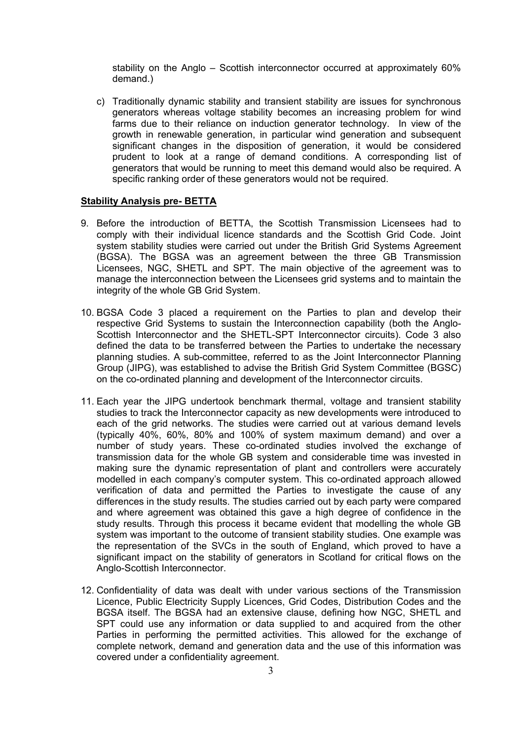stability on the Anglo – Scottish interconnector occurred at approximately 60% demand.)

c) Traditionally dynamic stability and transient stability are issues for synchronous generators whereas voltage stability becomes an increasing problem for wind farms due to their reliance on induction generator technology. In view of the growth in renewable generation, in particular wind generation and subsequent significant changes in the disposition of generation, it would be considered prudent to look at a range of demand conditions. A corresponding list of generators that would be running to meet this demand would also be required. A specific ranking order of these generators would not be required.

#### **Stability Analysis pre- BETTA**

- 9. Before the introduction of BETTA, the Scottish Transmission Licensees had to comply with their individual licence standards and the Scottish Grid Code. Joint system stability studies were carried out under the British Grid Systems Agreement (BGSA). The BGSA was an agreement between the three GB Transmission Licensees, NGC, SHETL and SPT. The main objective of the agreement was to manage the interconnection between the Licensees grid systems and to maintain the integrity of the whole GB Grid System.
- 10. BGSA Code 3 placed a requirement on the Parties to plan and develop their respective Grid Systems to sustain the Interconnection capability (both the Anglo-Scottish Interconnector and the SHETL-SPT Interconnector circuits). Code 3 also defined the data to be transferred between the Parties to undertake the necessary planning studies. A sub-committee, referred to as the Joint Interconnector Planning Group (JIPG), was established to advise the British Grid System Committee (BGSC) on the co-ordinated planning and development of the Interconnector circuits.
- 11. Each year the JIPG undertook benchmark thermal, voltage and transient stability studies to track the Interconnector capacity as new developments were introduced to each of the grid networks. The studies were carried out at various demand levels (typically 40%, 60%, 80% and 100% of system maximum demand) and over a number of study years. These co-ordinated studies involved the exchange of transmission data for the whole GB system and considerable time was invested in making sure the dynamic representation of plant and controllers were accurately modelled in each company's computer system. This co-ordinated approach allowed verification of data and permitted the Parties to investigate the cause of any differences in the study results. The studies carried out by each party were compared and where agreement was obtained this gave a high degree of confidence in the study results. Through this process it became evident that modelling the whole GB system was important to the outcome of transient stability studies. One example was the representation of the SVCs in the south of England, which proved to have a significant impact on the stability of generators in Scotland for critical flows on the Anglo-Scottish Interconnector.
- 12. Confidentiality of data was dealt with under various sections of the Transmission Licence, Public Electricity Supply Licences, Grid Codes, Distribution Codes and the BGSA itself. The BGSA had an extensive clause, defining how NGC, SHETL and SPT could use any information or data supplied to and acquired from the other Parties in performing the permitted activities. This allowed for the exchange of complete network, demand and generation data and the use of this information was covered under a confidentiality agreement.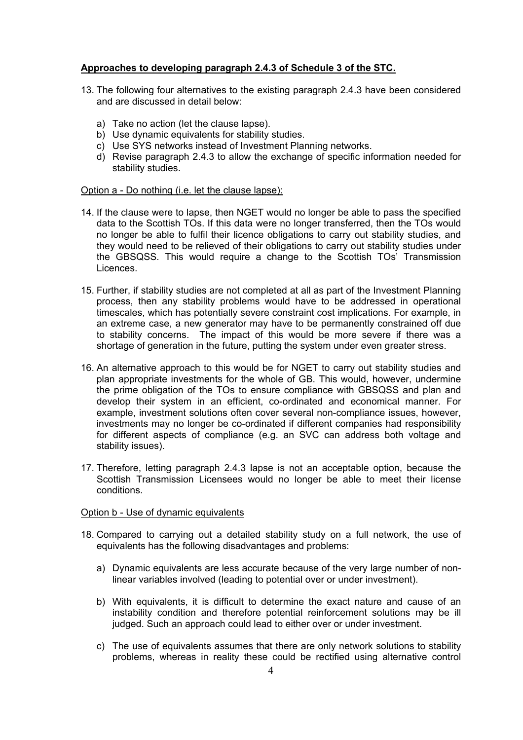#### **Approaches to developing paragraph 2.4.3 of Schedule 3 of the STC.**

- 13. The following four alternatives to the existing paragraph 2.4.3 have been considered and are discussed in detail below:
	- a) Take no action (let the clause lapse).
	- b) Use dynamic equivalents for stability studies.
	- c) Use SYS networks instead of Investment Planning networks.
	- d) Revise paragraph 2.4.3 to allow the exchange of specific information needed for stability studies.

#### Option a - Do nothing (i.e. let the clause lapse):

- 14. If the clause were to lapse, then NGET would no longer be able to pass the specified data to the Scottish TOs. If this data were no longer transferred, then the TOs would no longer be able to fulfil their licence obligations to carry out stability studies, and they would need to be relieved of their obligations to carry out stability studies under the GBSQSS. This would require a change to the Scottish TOs' Transmission Licences.
- 15. Further, if stability studies are not completed at all as part of the Investment Planning process, then any stability problems would have to be addressed in operational timescales, which has potentially severe constraint cost implications. For example, in an extreme case, a new generator may have to be permanently constrained off due to stability concerns. The impact of this would be more severe if there was a shortage of generation in the future, putting the system under even greater stress.
- 16. An alternative approach to this would be for NGET to carry out stability studies and plan appropriate investments for the whole of GB. This would, however, undermine the prime obligation of the TOs to ensure compliance with GBSQSS and plan and develop their system in an efficient, co-ordinated and economical manner. For example, investment solutions often cover several non-compliance issues, however, investments may no longer be co-ordinated if different companies had responsibility for different aspects of compliance (e.g. an SVC can address both voltage and stability issues).
- 17. Therefore, letting paragraph 2.4.3 lapse is not an acceptable option, because the Scottish Transmission Licensees would no longer be able to meet their license conditions.

#### Option b - Use of dynamic equivalents

- 18. Compared to carrying out a detailed stability study on a full network, the use of equivalents has the following disadvantages and problems:
	- a) Dynamic equivalents are less accurate because of the very large number of nonlinear variables involved (leading to potential over or under investment).
	- b) With equivalents, it is difficult to determine the exact nature and cause of an instability condition and therefore potential reinforcement solutions may be ill judged. Such an approach could lead to either over or under investment.
	- c) The use of equivalents assumes that there are only network solutions to stability problems, whereas in reality these could be rectified using alternative control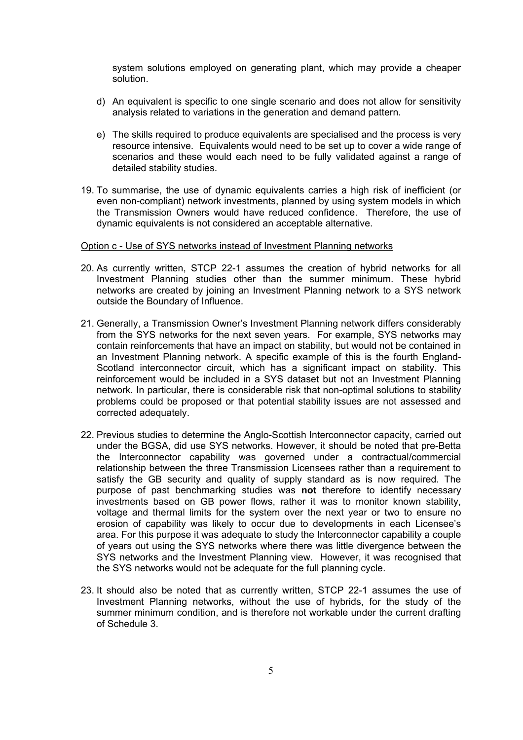system solutions employed on generating plant, which may provide a cheaper solution.

- d) An equivalent is specific to one single scenario and does not allow for sensitivity analysis related to variations in the generation and demand pattern.
- e) The skills required to produce equivalents are specialised and the process is very resource intensive. Equivalents would need to be set up to cover a wide range of scenarios and these would each need to be fully validated against a range of detailed stability studies.
- 19. To summarise, the use of dynamic equivalents carries a high risk of inefficient (or even non-compliant) network investments, planned by using system models in which the Transmission Owners would have reduced confidence. Therefore, the use of dynamic equivalents is not considered an acceptable alternative.

#### Option c - Use of SYS networks instead of Investment Planning networks

- 20. As currently written, STCP 22-1 assumes the creation of hybrid networks for all Investment Planning studies other than the summer minimum. These hybrid networks are created by joining an Investment Planning network to a SYS network outside the Boundary of Influence.
- 21. Generally, a Transmission Owner's Investment Planning network differs considerably from the SYS networks for the next seven years. For example, SYS networks may contain reinforcements that have an impact on stability, but would not be contained in an Investment Planning network. A specific example of this is the fourth England-Scotland interconnector circuit, which has a significant impact on stability. This reinforcement would be included in a SYS dataset but not an Investment Planning network. In particular, there is considerable risk that non-optimal solutions to stability problems could be proposed or that potential stability issues are not assessed and corrected adequately.
- 22. Previous studies to determine the Anglo-Scottish Interconnector capacity, carried out under the BGSA, did use SYS networks. However, it should be noted that pre-Betta the Interconnector capability was governed under a contractual/commercial relationship between the three Transmission Licensees rather than a requirement to satisfy the GB security and quality of supply standard as is now required. The purpose of past benchmarking studies was **not** therefore to identify necessary investments based on GB power flows, rather it was to monitor known stability, voltage and thermal limits for the system over the next year or two to ensure no erosion of capability was likely to occur due to developments in each Licensee's area. For this purpose it was adequate to study the Interconnector capability a couple of years out using the SYS networks where there was little divergence between the SYS networks and the Investment Planning view. However, it was recognised that the SYS networks would not be adequate for the full planning cycle.
- 23. It should also be noted that as currently written, STCP 22-1 assumes the use of Investment Planning networks, without the use of hybrids, for the study of the summer minimum condition, and is therefore not workable under the current drafting of Schedule 3.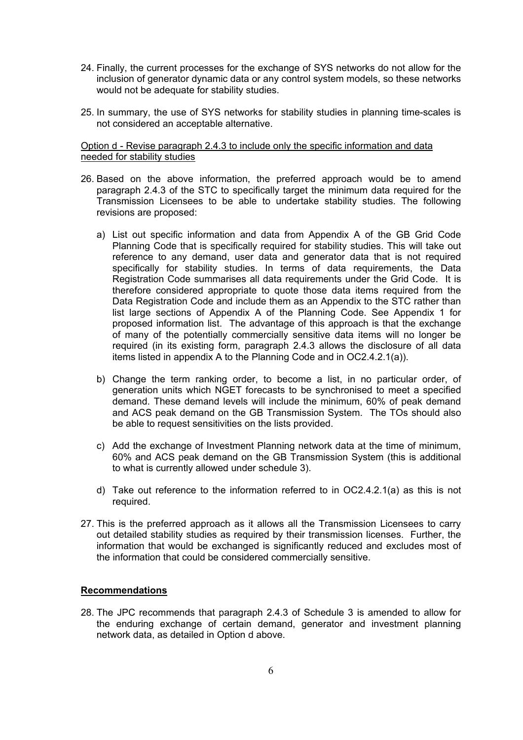- 24. Finally, the current processes for the exchange of SYS networks do not allow for the inclusion of generator dynamic data or any control system models, so these networks would not be adequate for stability studies.
- 25. In summary, the use of SYS networks for stability studies in planning time-scales is not considered an acceptable alternative.

Option d - Revise paragraph 2.4.3 to include only the specific information and data needed for stability studies

- 26. Based on the above information, the preferred approach would be to amend paragraph 2.4.3 of the STC to specifically target the minimum data required for the Transmission Licensees to be able to undertake stability studies. The following revisions are proposed:
	- a) List out specific information and data from Appendix A of the GB Grid Code Planning Code that is specifically required for stability studies. This will take out reference to any demand, user data and generator data that is not required specifically for stability studies. In terms of data requirements, the Data Registration Code summarises all data requirements under the Grid Code. It is therefore considered appropriate to quote those data items required from the Data Registration Code and include them as an Appendix to the STC rather than list large sections of Appendix A of the Planning Code. See Appendix 1 for proposed information list. The advantage of this approach is that the exchange of many of the potentially commercially sensitive data items will no longer be required (in its existing form, paragraph 2.4.3 allows the disclosure of all data items listed in appendix A to the Planning Code and in OC2.4.2.1(a)).
	- b) Change the term ranking order, to become a list, in no particular order, of generation units which NGET forecasts to be synchronised to meet a specified demand. These demand levels will include the minimum, 60% of peak demand and ACS peak demand on the GB Transmission System. The TOs should also be able to request sensitivities on the lists provided.
	- c) Add the exchange of Investment Planning network data at the time of minimum, 60% and ACS peak demand on the GB Transmission System (this is additional to what is currently allowed under schedule 3).
	- d) Take out reference to the information referred to in OC2.4.2.1(a) as this is not required.
- 27. This is the preferred approach as it allows all the Transmission Licensees to carry out detailed stability studies as required by their transmission licenses. Further, the information that would be exchanged is significantly reduced and excludes most of the information that could be considered commercially sensitive.

#### **Recommendations**

28. The JPC recommends that paragraph 2.4.3 of Schedule 3 is amended to allow for the enduring exchange of certain demand, generator and investment planning network data, as detailed in Option d above.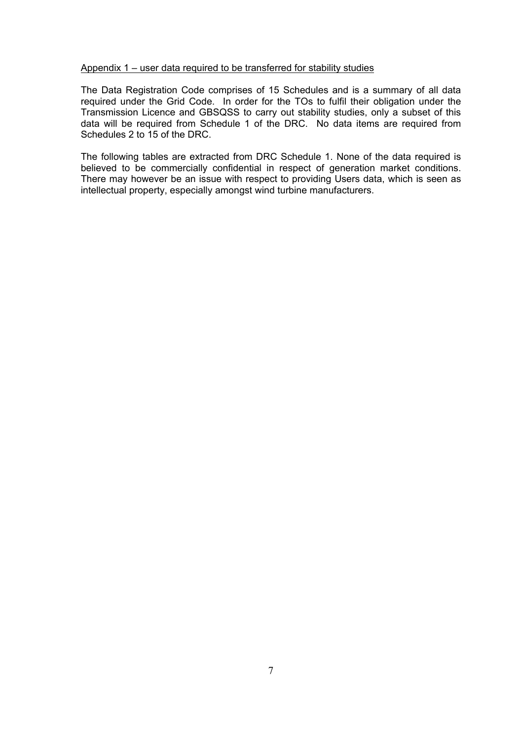#### Appendix 1 – user data required to be transferred for stability studies

The Data Registration Code comprises of 15 Schedules and is a summary of all data required under the Grid Code. In order for the TOs to fulfil their obligation under the Transmission Licence and GBSQSS to carry out stability studies, only a subset of this data will be required from Schedule 1 of the DRC. No data items are required from Schedules 2 to 15 of the DRC.

The following tables are extracted from DRC Schedule 1. None of the data required is believed to be commercially confidential in respect of generation market conditions. There may however be an issue with respect to providing Users data, which is seen as intellectual property, especially amongst wind turbine manufacturers.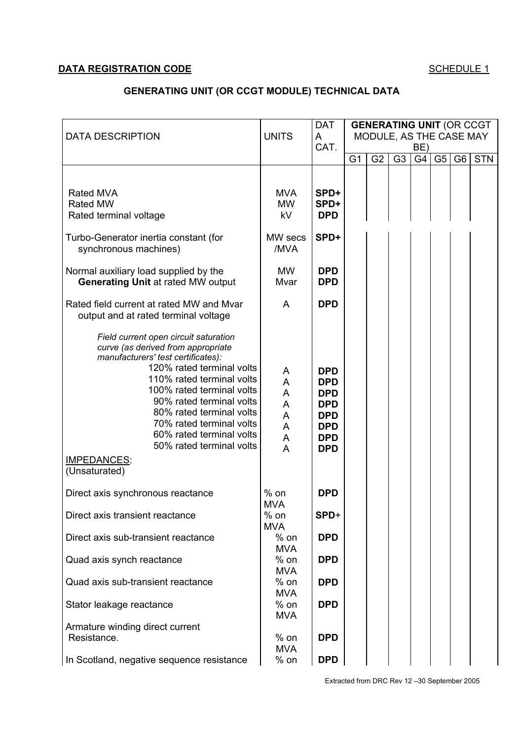## **DATA REGISTRATION CODE SCHEDULE 1**

## **GENERATING UNIT (OR CCGT MODULE) TECHNICAL DATA**

|                                                                                                                                                                                                                                                                                                                                                                                             |                                      | <b>DAT</b>                                                                                                   | <b>GENERATING UNIT (OR CCGT</b> |                         |                |           |                |                |            |
|---------------------------------------------------------------------------------------------------------------------------------------------------------------------------------------------------------------------------------------------------------------------------------------------------------------------------------------------------------------------------------------------|--------------------------------------|--------------------------------------------------------------------------------------------------------------|---------------------------------|-------------------------|----------------|-----------|----------------|----------------|------------|
| <b>DATA DESCRIPTION</b>                                                                                                                                                                                                                                                                                                                                                                     | <b>UNITS</b>                         | A<br>CAT.                                                                                                    |                                 | MODULE, AS THE CASE MAY |                |           |                |                |            |
|                                                                                                                                                                                                                                                                                                                                                                                             |                                      |                                                                                                              | G <sub>1</sub>                  | G <sub>2</sub>          | G <sub>3</sub> | BE)<br>G4 | G <sub>5</sub> | G <sub>6</sub> | <b>STN</b> |
|                                                                                                                                                                                                                                                                                                                                                                                             |                                      |                                                                                                              |                                 |                         |                |           |                |                |            |
| Rated MVA<br><b>Rated MW</b><br>Rated terminal voltage                                                                                                                                                                                                                                                                                                                                      | <b>MVA</b><br><b>MW</b><br>kV        | SPD+<br>SPD+<br><b>DPD</b>                                                                                   |                                 |                         |                |           |                |                |            |
| Turbo-Generator inertia constant (for<br>synchronous machines)                                                                                                                                                                                                                                                                                                                              | MW secs<br>/MVA                      | SPD+                                                                                                         |                                 |                         |                |           |                |                |            |
| Normal auxiliary load supplied by the<br><b>Generating Unit at rated MW output</b>                                                                                                                                                                                                                                                                                                          | <b>MW</b><br>Mvar                    | <b>DPD</b><br><b>DPD</b>                                                                                     |                                 |                         |                |           |                |                |            |
| Rated field current at rated MW and Mvar<br>output and at rated terminal voltage                                                                                                                                                                                                                                                                                                            | A                                    | <b>DPD</b>                                                                                                   |                                 |                         |                |           |                |                |            |
| Field current open circuit saturation<br>curve (as derived from appropriate<br>manufacturers' test certificates):<br>120% rated terminal volts<br>110% rated terminal volts<br>100% rated terminal volts<br>90% rated terminal volts<br>80% rated terminal volts<br>70% rated terminal volts<br>60% rated terminal volts<br>50% rated terminal volts<br><b>IMPEDANCES:</b><br>(Unsaturated) | A<br>A<br>A<br>A<br>A<br>A<br>A<br>A | <b>DPD</b><br><b>DPD</b><br><b>DPD</b><br><b>DPD</b><br><b>DPD</b><br><b>DPD</b><br><b>DPD</b><br><b>DPD</b> |                                 |                         |                |           |                |                |            |
| Direct axis synchronous reactance                                                                                                                                                                                                                                                                                                                                                           | $%$ on<br><b>MVA</b>                 | <b>DPD</b>                                                                                                   |                                 |                         |                |           |                |                |            |
| Direct axis transient reactance                                                                                                                                                                                                                                                                                                                                                             | $%$ on<br><b>MVA</b>                 | SPD+                                                                                                         |                                 |                         |                |           |                |                |            |
| Direct axis sub-transient reactance                                                                                                                                                                                                                                                                                                                                                         | $%$ on<br><b>MVA</b>                 | <b>DPD</b>                                                                                                   |                                 |                         |                |           |                |                |            |
| Quad axis synch reactance                                                                                                                                                                                                                                                                                                                                                                   | $%$ on<br><b>MVA</b>                 | <b>DPD</b>                                                                                                   |                                 |                         |                |           |                |                |            |
| Quad axis sub-transient reactance                                                                                                                                                                                                                                                                                                                                                           | $%$ on<br><b>MVA</b>                 | <b>DPD</b>                                                                                                   |                                 |                         |                |           |                |                |            |
| Stator leakage reactance                                                                                                                                                                                                                                                                                                                                                                    | $%$ on<br><b>MVA</b>                 | <b>DPD</b>                                                                                                   |                                 |                         |                |           |                |                |            |
| Armature winding direct current                                                                                                                                                                                                                                                                                                                                                             |                                      |                                                                                                              |                                 |                         |                |           |                |                |            |
| Resistance.                                                                                                                                                                                                                                                                                                                                                                                 | $%$ on<br><b>MVA</b>                 | <b>DPD</b>                                                                                                   |                                 |                         |                |           |                |                |            |
| In Scotland, negative sequence resistance                                                                                                                                                                                                                                                                                                                                                   | $%$ on                               | <b>DPD</b>                                                                                                   |                                 |                         |                |           |                |                |            |

Extracted from DRC Rev 12 –30 September 2005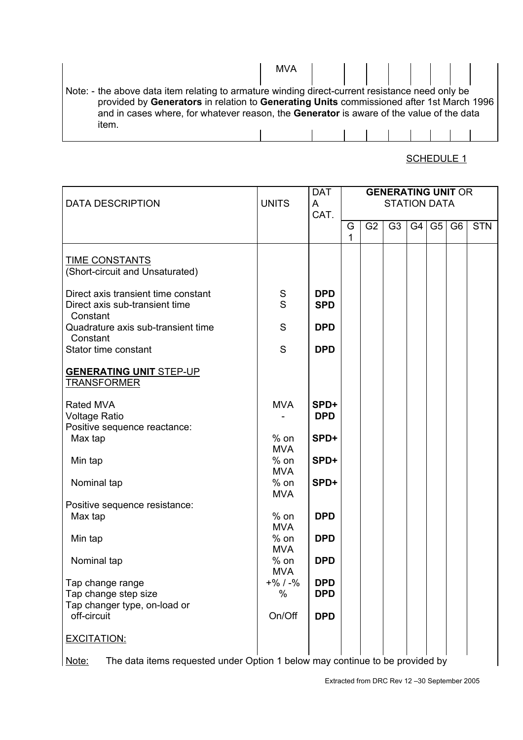|                                                                                                 | <b>MVA</b> |           |  |  |  |  |
|-------------------------------------------------------------------------------------------------|------------|-----------|--|--|--|--|
|                                                                                                 |            |           |  |  |  |  |
| Note: - the above data item relating to armature winding direct-current resistance need only be |            |           |  |  |  |  |
| provided by Generators in relation to Generating Units commissioned after 1st March 1996        |            |           |  |  |  |  |
| and in cases where, for whatever reason, the Generator is aware of the value of the data        |            |           |  |  |  |  |
| item.                                                                                           |            |           |  |  |  |  |
|                                                                                                 |            | 111111111 |  |  |  |  |

| <b>DATA DESCRIPTION</b>                                                               | <b>UNITS</b>         | <b>DAT</b><br>A          | <b>GENERATING UNIT OR</b><br><b>STATION DATA</b> |                |                |    |    |                |            |
|---------------------------------------------------------------------------------------|----------------------|--------------------------|--------------------------------------------------|----------------|----------------|----|----|----------------|------------|
|                                                                                       |                      | CAT.                     |                                                  |                |                |    |    |                |            |
|                                                                                       |                      |                          | G<br>1                                           | G <sub>2</sub> | G <sub>3</sub> | G4 | G5 | G <sub>6</sub> | <b>STN</b> |
| <b>TIME CONSTANTS</b><br>(Short-circuit and Unsaturated)                              |                      |                          |                                                  |                |                |    |    |                |            |
| Direct axis transient time constant<br>Direct axis sub-transient time<br>Constant     | ${\mathsf S}$<br>S   | <b>DPD</b><br><b>SPD</b> |                                                  |                |                |    |    |                |            |
| Quadrature axis sub-transient time<br>Constant                                        | S                    | <b>DPD</b>               |                                                  |                |                |    |    |                |            |
| Stator time constant                                                                  | S                    | <b>DPD</b>               |                                                  |                |                |    |    |                |            |
| <b>GENERATING UNIT STEP-UP</b><br><b>TRANSFORMER</b>                                  |                      |                          |                                                  |                |                |    |    |                |            |
| Rated MVA<br><b>Voltage Ratio</b><br>Positive sequence reactance:                     | <b>MVA</b>           | SPD+<br><b>DPD</b>       |                                                  |                |                |    |    |                |            |
| Max tap                                                                               | $%$ on<br><b>MVA</b> | SPD+                     |                                                  |                |                |    |    |                |            |
| Min tap                                                                               | $%$ on<br><b>MVA</b> | SPD+                     |                                                  |                |                |    |    |                |            |
| Nominal tap                                                                           | $%$ on<br><b>MVA</b> | SPD+                     |                                                  |                |                |    |    |                |            |
| Positive sequence resistance:                                                         |                      |                          |                                                  |                |                |    |    |                |            |
| Max tap                                                                               | $%$ on<br><b>MVA</b> | <b>DPD</b>               |                                                  |                |                |    |    |                |            |
| Min tap                                                                               | $%$ on<br><b>MVA</b> | <b>DPD</b>               |                                                  |                |                |    |    |                |            |
| Nominal tap                                                                           | $%$ on<br><b>MVA</b> | <b>DPD</b>               |                                                  |                |                |    |    |                |            |
| Tap change range<br>Tap change step size<br>Tap changer type, on-load or              | $+$ % / $-$ %<br>%   | <b>DPD</b><br><b>DPD</b> |                                                  |                |                |    |    |                |            |
| off-circuit                                                                           | On/Off               | <b>DPD</b>               |                                                  |                |                |    |    |                |            |
| <b>EXCITATION:</b>                                                                    |                      |                          |                                                  |                |                |    |    |                |            |
| The data items requested under Option 1 below may continue to be provided by<br>Note: |                      |                          |                                                  |                |                |    |    |                |            |

Note: The data items requested under Option 1 below may continue to be provided by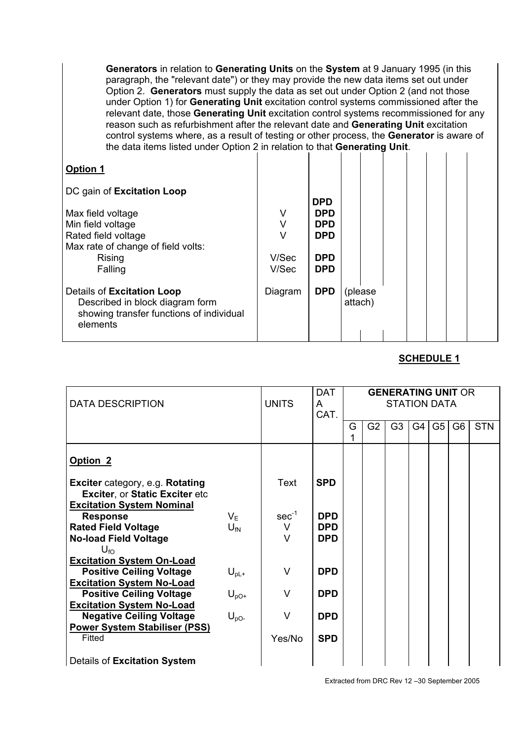**Generators** in relation to **Generating Units** on the **System** at 9 January 1995 (in this paragraph, the "relevant date") or they may provide the new data items set out under Option 2. **Generators** must supply the data as set out under Option 2 (and not those under Option 1) for **Generating Unit** excitation control systems commissioned after the relevant date, those **Generating Unit** excitation control systems recommissioned for any reason such as refurbishment after the relevant date and **Generating Unit** excitation control systems where, as a result of testing or other process, the **Generator** is aware of the data items listed under Option 2 in relation to that **Generating Unit**.

| <b>Option 1</b>                                                                                                       |         |            |                     |  |  |  |
|-----------------------------------------------------------------------------------------------------------------------|---------|------------|---------------------|--|--|--|
| DC gain of Excitation Loop                                                                                            |         |            |                     |  |  |  |
|                                                                                                                       |         | <b>DPD</b> |                     |  |  |  |
| Max field voltage                                                                                                     | V       | <b>DPD</b> |                     |  |  |  |
| Min field voltage                                                                                                     | V       | <b>DPD</b> |                     |  |  |  |
| Rated field voltage                                                                                                   |         | <b>DPD</b> |                     |  |  |  |
| Max rate of change of field volts:                                                                                    |         |            |                     |  |  |  |
| Rising                                                                                                                | V/Sec   | <b>DPD</b> |                     |  |  |  |
| Falling                                                                                                               | V/Sec   | <b>DPD</b> |                     |  |  |  |
| Details of Excitation Loop<br>Described in block diagram form<br>showing transfer functions of individual<br>elements | Diagram | <b>DPD</b> | (please)<br>attach) |  |  |  |

#### **SCHEDULE 1**

| <b>DATA DESCRIPTION</b>                                                          |                  | <b>UNITS</b> | <b>DAT</b><br>A<br>CAT.  | <b>GENERATING UNIT OR</b><br><b>STATION DATA</b> |                |                |    |    |                |            |
|----------------------------------------------------------------------------------|------------------|--------------|--------------------------|--------------------------------------------------|----------------|----------------|----|----|----------------|------------|
|                                                                                  |                  |              |                          | G                                                | G <sub>2</sub> | G <sub>3</sub> | G4 | G5 | G <sub>6</sub> | <b>STN</b> |
| Option <sub>2</sub>                                                              |                  |              |                          |                                                  |                |                |    |    |                |            |
| <b>Exciter</b> category, e.g. Rotating<br><b>Exciter, or Static Exciter etc.</b> |                  | Text         | <b>SPD</b>               |                                                  |                |                |    |    |                |            |
| <b>Excitation System Nominal</b><br><b>Response</b>                              | $V_{\mathsf{F}}$ | $sec^{-1}$   | <b>DPD</b>               |                                                  |                |                |    |    |                |            |
| <b>Rated Field Voltage</b><br><b>No-load Field Voltage</b>                       | $U_{fN}$         | $\vee$<br>V  | <b>DPD</b><br><b>DPD</b> |                                                  |                |                |    |    |                |            |
| $U_{fO}$<br><b>Excitation System On-Load</b>                                     |                  |              |                          |                                                  |                |                |    |    |                |            |
| <b>Positive Ceiling Voltage</b>                                                  | $U_{\text{pL}+}$ | V            | <b>DPD</b>               |                                                  |                |                |    |    |                |            |
| <b>Excitation System No-Load</b><br><b>Positive Ceiling Voltage</b>              | $U_{\text{pO+}}$ | V            | <b>DPD</b>               |                                                  |                |                |    |    |                |            |
| <b>Excitation System No-Load</b>                                                 |                  |              |                          |                                                  |                |                |    |    |                |            |
| <b>Negative Ceiling Voltage</b><br><b>Power System Stabiliser (PSS)</b>          | $U_{\text{pO}-}$ | V            | <b>DPD</b>               |                                                  |                |                |    |    |                |            |
| Fitted                                                                           |                  | Yes/No       | <b>SPD</b>               |                                                  |                |                |    |    |                |            |
| Details of Excitation System                                                     |                  |              |                          |                                                  |                |                |    |    |                |            |

Extracted from DRC Rev 12 –30 September 2005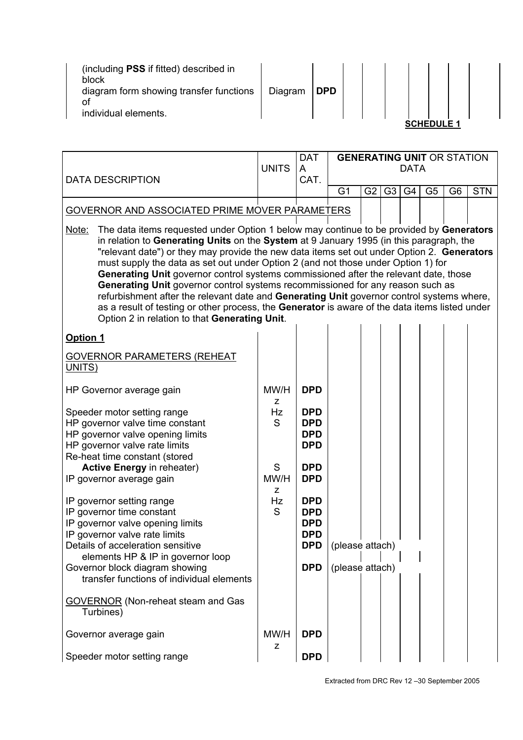| (including PSS if fitted) described in<br>block<br>diagram form showing transfer functions<br>оt<br>individual elements. | Diagram | <b>DPD</b> |  |  |       |  |
|--------------------------------------------------------------------------------------------------------------------------|---------|------------|--|--|-------|--|
|                                                                                                                          |         |            |  |  | JLE 1 |  |

| <b>DATA DESCRIPTION</b>                                                                                                                                                                                                                                                                                                                                                                                                                                                                                                                                                                                                                                                                                                                                                                                  | <b>UNITS</b> | <b>DAT</b><br>A<br>CAT.                                                          | <b>DATA</b>                        | <b>GENERATING UNIT OR STATION</b> |    |                |                |                |            |  |
|----------------------------------------------------------------------------------------------------------------------------------------------------------------------------------------------------------------------------------------------------------------------------------------------------------------------------------------------------------------------------------------------------------------------------------------------------------------------------------------------------------------------------------------------------------------------------------------------------------------------------------------------------------------------------------------------------------------------------------------------------------------------------------------------------------|--------------|----------------------------------------------------------------------------------|------------------------------------|-----------------------------------|----|----------------|----------------|----------------|------------|--|
|                                                                                                                                                                                                                                                                                                                                                                                                                                                                                                                                                                                                                                                                                                                                                                                                          |              |                                                                                  | G <sub>1</sub>                     | G2                                | G3 | G <sub>4</sub> | G <sub>5</sub> | G <sub>6</sub> | <b>STN</b> |  |
| GOVERNOR AND ASSOCIATED PRIME MOVER PARAMETERS                                                                                                                                                                                                                                                                                                                                                                                                                                                                                                                                                                                                                                                                                                                                                           |              |                                                                                  |                                    |                                   |    |                |                |                |            |  |
| The data items requested under Option 1 below may continue to be provided by Generators<br>Note:<br>in relation to Generating Units on the System at 9 January 1995 (in this paragraph, the<br>"relevant date") or they may provide the new data items set out under Option 2. Generators<br>must supply the data as set out under Option 2 (and not those under Option 1) for<br>Generating Unit governor control systems commissioned after the relevant date, those<br>Generating Unit governor control systems recommissioned for any reason such as<br>refurbishment after the relevant date and Generating Unit governor control systems where,<br>as a result of testing or other process, the Generator is aware of the data items listed under<br>Option 2 in relation to that Generating Unit. |              |                                                                                  |                                    |                                   |    |                |                |                |            |  |
| Option 1                                                                                                                                                                                                                                                                                                                                                                                                                                                                                                                                                                                                                                                                                                                                                                                                 |              |                                                                                  |                                    |                                   |    |                |                |                |            |  |
| <b>GOVERNOR PARAMETERS (REHEAT</b><br>UNITS)                                                                                                                                                                                                                                                                                                                                                                                                                                                                                                                                                                                                                                                                                                                                                             |              |                                                                                  |                                    |                                   |    |                |                |                |            |  |
| HP Governor average gain                                                                                                                                                                                                                                                                                                                                                                                                                                                                                                                                                                                                                                                                                                                                                                                 | MW/H<br>z    | <b>DPD</b>                                                                       |                                    |                                   |    |                |                |                |            |  |
| Speeder motor setting range<br>HP governor valve time constant<br>HP governor valve opening limits<br>HP governor valve rate limits<br>Re-heat time constant (stored                                                                                                                                                                                                                                                                                                                                                                                                                                                                                                                                                                                                                                     | Hz<br>S      | <b>DPD</b><br><b>DPD</b><br><b>DPD</b><br><b>DPD</b>                             |                                    |                                   |    |                |                |                |            |  |
| <b>Active Energy in reheater)</b><br>IP governor average gain                                                                                                                                                                                                                                                                                                                                                                                                                                                                                                                                                                                                                                                                                                                                            | S<br>MW/H    | <b>DPD</b><br><b>DPD</b>                                                         |                                    |                                   |    |                |                |                |            |  |
| IP governor setting range<br>IP governor time constant<br>IP governor valve opening limits<br>IP governor valve rate limits<br>Details of acceleration sensitive<br>elements HP & IP in governor loop<br>Governor block diagram showing<br>transfer functions of individual elements                                                                                                                                                                                                                                                                                                                                                                                                                                                                                                                     | z<br>Hz<br>S | <b>DPD</b><br><b>DPD</b><br><b>DPD</b><br><b>DPD</b><br><b>DPD</b><br><b>DPD</b> | (please attach)<br>(please attach) |                                   |    |                |                |                |            |  |
| <b>GOVERNOR</b> (Non-reheat steam and Gas<br>Turbines)                                                                                                                                                                                                                                                                                                                                                                                                                                                                                                                                                                                                                                                                                                                                                   |              |                                                                                  |                                    |                                   |    |                |                |                |            |  |
| Governor average gain                                                                                                                                                                                                                                                                                                                                                                                                                                                                                                                                                                                                                                                                                                                                                                                    | MW/H<br>z    | <b>DPD</b>                                                                       |                                    |                                   |    |                |                |                |            |  |
| Speeder motor setting range                                                                                                                                                                                                                                                                                                                                                                                                                                                                                                                                                                                                                                                                                                                                                                              |              | <b>DPD</b>                                                                       |                                    |                                   |    |                |                |                |            |  |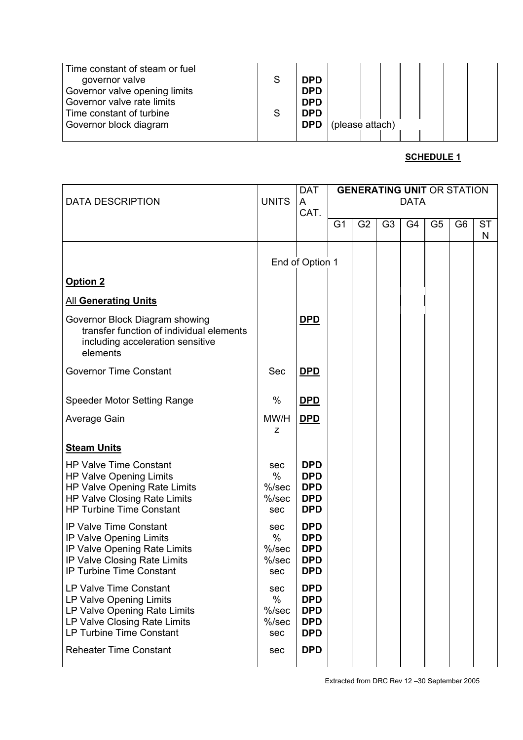| Time constant of steam or fuel<br>governor valve<br>Governor valve opening limits<br>Governor valve rate limits | S | <b>DPD</b><br><b>DPD</b><br><b>DPD</b> |                 |  |  |  |  |
|-----------------------------------------------------------------------------------------------------------------|---|----------------------------------------|-----------------|--|--|--|--|
| Time constant of turbine                                                                                        | S | <b>DPD</b>                             |                 |  |  |  |  |
| Governor block diagram                                                                                          |   | <b>DPD</b>                             | (please attach) |  |  |  |  |
|                                                                                                                 |   |                                        |                 |  |  |  |  |

| <b>DATA DESCRIPTION</b>                                                                                                                                     | <b>UNITS</b>                               | <b>DAT</b><br>A                                                    | <b>GENERATING UNIT OR STATION</b><br><b>DATA</b> |                |                |                |                |                |                |
|-------------------------------------------------------------------------------------------------------------------------------------------------------------|--------------------------------------------|--------------------------------------------------------------------|--------------------------------------------------|----------------|----------------|----------------|----------------|----------------|----------------|
|                                                                                                                                                             |                                            | CAT.                                                               | G <sub>1</sub>                                   | G <sub>2</sub> | G <sub>3</sub> | G <sub>4</sub> | G <sub>5</sub> | G <sub>6</sub> | <b>ST</b><br>N |
|                                                                                                                                                             |                                            | End of Option 1                                                    |                                                  |                |                |                |                |                |                |
| Option 2                                                                                                                                                    |                                            |                                                                    |                                                  |                |                |                |                |                |                |
| <b>All Generating Units</b>                                                                                                                                 |                                            |                                                                    |                                                  |                |                |                |                |                |                |
| Governor Block Diagram showing<br>transfer function of individual elements<br>including acceleration sensitive<br>elements                                  |                                            | <b>DPD</b>                                                         |                                                  |                |                |                |                |                |                |
| <b>Governor Time Constant</b>                                                                                                                               | Sec                                        | <b>DPD</b>                                                         |                                                  |                |                |                |                |                |                |
| Speeder Motor Setting Range                                                                                                                                 | $\frac{0}{0}$                              | <b>DPD</b>                                                         |                                                  |                |                |                |                |                |                |
| Average Gain                                                                                                                                                | MW/H<br>Z                                  | <b>DPD</b>                                                         |                                                  |                |                |                |                |                |                |
| <b>Steam Units</b>                                                                                                                                          |                                            |                                                                    |                                                  |                |                |                |                |                |                |
| <b>HP Valve Time Constant</b><br>HP Valve Opening Limits<br>HP Valve Opening Rate Limits<br>HP Valve Closing Rate Limits<br><b>HP Turbine Time Constant</b> | sec<br>$\%$<br>$%$ /sec<br>$%$ /sec<br>sec | <b>DPD</b><br><b>DPD</b><br><b>DPD</b><br><b>DPD</b><br><b>DPD</b> |                                                  |                |                |                |                |                |                |
| <b>IP Valve Time Constant</b><br>IP Valve Opening Limits<br>IP Valve Opening Rate Limits<br>IP Valve Closing Rate Limits<br><b>IP Turbine Time Constant</b> | sec<br>$\%$<br>$%$ /sec<br>$%$ /sec<br>sec | <b>DPD</b><br><b>DPD</b><br><b>DPD</b><br><b>DPD</b><br><b>DPD</b> |                                                  |                |                |                |                |                |                |
| LP Valve Time Constant<br>LP Valve Opening Limits<br>LP Valve Opening Rate Limits<br>LP Valve Closing Rate Limits<br><b>LP Turbine Time Constant</b>        | sec<br>$\%$<br>$%$ /sec<br>$%$ /sec<br>sec | <b>DPD</b><br><b>DPD</b><br><b>DPD</b><br><b>DPD</b><br><b>DPD</b> |                                                  |                |                |                |                |                |                |
| <b>Reheater Time Constant</b>                                                                                                                               | sec                                        | <b>DPD</b>                                                         |                                                  |                |                |                |                |                |                |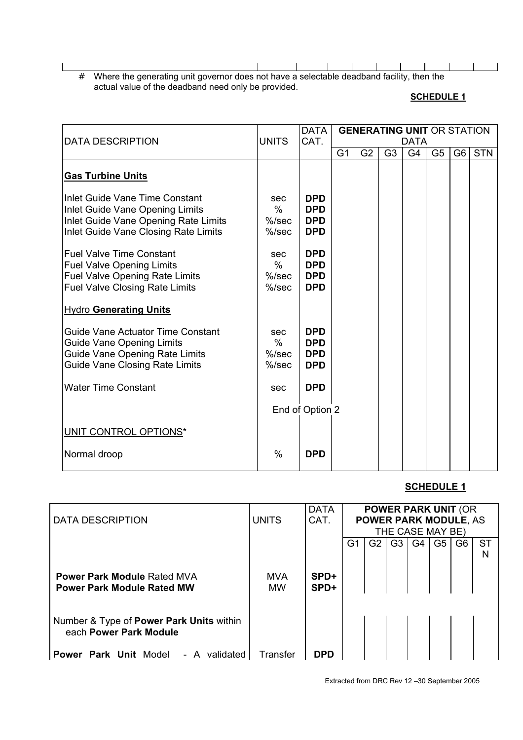# Where the generating unit governor does not have a selectable deadband facility, then the actual value of the deadband need only be provided.

#### **SCHEDULE 1**

 $\blacksquare$ 

 $\Box$ 

| <b>DATA DESCRIPTION</b>                                                                                                                               | <b>UNITS</b>                                 | <b>DATA</b><br><b>GENERATING UNIT OR STATION</b><br>CAT.<br><b>DATA</b> |                |                |                |                |                |                |            |  |  |  |  |  |  |
|-------------------------------------------------------------------------------------------------------------------------------------------------------|----------------------------------------------|-------------------------------------------------------------------------|----------------|----------------|----------------|----------------|----------------|----------------|------------|--|--|--|--|--|--|
|                                                                                                                                                       |                                              |                                                                         | G <sub>1</sub> | G <sub>2</sub> | G <sub>3</sub> | G <sub>4</sub> | G <sub>5</sub> | G <sub>6</sub> | <b>STN</b> |  |  |  |  |  |  |
| <b>Gas Turbine Units</b>                                                                                                                              |                                              |                                                                         |                |                |                |                |                |                |            |  |  |  |  |  |  |
| Inlet Guide Vane Time Constant<br>Inlet Guide Vane Opening Limits<br>Inlet Guide Vane Opening Rate Limits<br>Inlet Guide Vane Closing Rate Limits     | sec<br>$\frac{0}{0}$<br>$%$ /sec<br>$%$ /sec | <b>DPD</b><br><b>DPD</b><br><b>DPD</b><br><b>DPD</b>                    |                |                |                |                |                |                |            |  |  |  |  |  |  |
| <b>Fuel Valve Time Constant</b><br><b>Fuel Valve Opening Limits</b><br><b>Fuel Valve Opening Rate Limits</b><br><b>Fuel Valve Closing Rate Limits</b> | sec<br>$\frac{0}{0}$<br>$%$ /sec<br>$%$ /sec | <b>DPD</b><br><b>DPD</b><br><b>DPD</b><br><b>DPD</b>                    |                |                |                |                |                |                |            |  |  |  |  |  |  |
| <b>Hydro Generating Units</b>                                                                                                                         |                                              |                                                                         |                |                |                |                |                |                |            |  |  |  |  |  |  |
| Guide Vane Actuator Time Constant<br><b>Guide Vane Opening Limits</b><br>Guide Vane Opening Rate Limits<br><b>Guide Vane Closing Rate Limits</b>      | sec<br>$\%$<br>$%$ /sec<br>$%$ /sec          | <b>DPD</b><br><b>DPD</b><br><b>DPD</b><br><b>DPD</b>                    |                |                |                |                |                |                |            |  |  |  |  |  |  |
| <b>Water Time Constant</b>                                                                                                                            | sec                                          | <b>DPD</b>                                                              |                |                |                |                |                |                |            |  |  |  |  |  |  |
|                                                                                                                                                       |                                              | End of Option 2                                                         |                |                |                |                |                |                |            |  |  |  |  |  |  |
| <b>UNIT CONTROL OPTIONS*</b>                                                                                                                          |                                              |                                                                         |                |                |                |                |                |                |            |  |  |  |  |  |  |
| Normal droop                                                                                                                                          | $\%$                                         | <b>DPD</b>                                                              |                |                |                |                |                |                |            |  |  |  |  |  |  |

## **SCHEDULE 1**

| DATA DESCRIPTION                                                        | <b>UNITS</b>            | <b>DATA</b><br>CAT. |    |    | THE CASE MAY BE) |                |                | <b>POWER PARK UNIT (OR</b><br><b>POWER PARK MODULE, AS</b> |                |
|-------------------------------------------------------------------------|-------------------------|---------------------|----|----|------------------|----------------|----------------|------------------------------------------------------------|----------------|
|                                                                         |                         |                     | G1 | G2 | G <sub>3</sub>   | G <sub>4</sub> | G <sub>5</sub> | G <sub>6</sub>                                             | <b>ST</b><br>N |
| <b>Power Park Module Rated MVA</b><br><b>Power Park Module Rated MW</b> | <b>MVA</b><br><b>MW</b> | SPD+<br>SPD+        |    |    |                  |                |                |                                                            |                |
| Number & Type of Power Park Units within<br>each Power Park Module      |                         |                     |    |    |                  |                |                |                                                            |                |
| Power Park Unit Model<br>- A<br>validated                               | Transfer                | <b>DPD</b>          |    |    |                  |                |                |                                                            |                |

Extracted from DRC Rev 12 –30 September 2005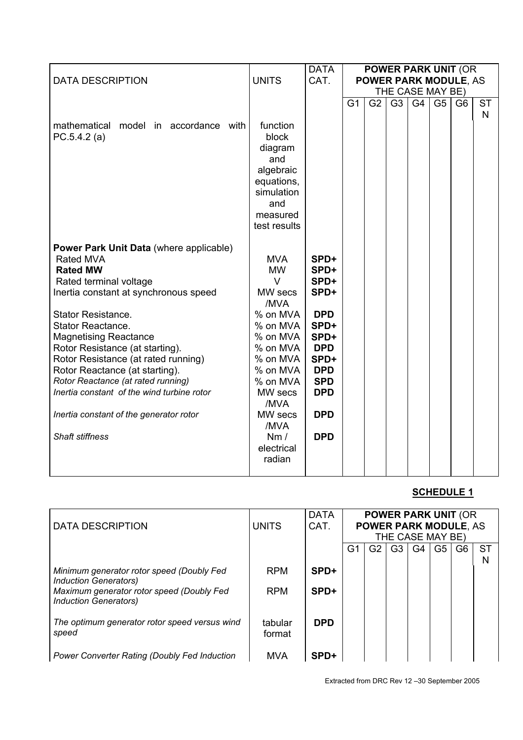|                                                |                 | <b>DATA</b> | <b>POWER PARK UNIT (OR</b> |    |                  |                |                |                              |           |
|------------------------------------------------|-----------------|-------------|----------------------------|----|------------------|----------------|----------------|------------------------------|-----------|
| <b>DATA DESCRIPTION</b>                        | <b>UNITS</b>    | CAT.        |                            |    |                  |                |                | <b>POWER PARK MODULE, AS</b> |           |
|                                                |                 |             |                            |    | THE CASE MAY BE) |                |                |                              |           |
|                                                |                 |             | G <sub>1</sub>             | G2 | G <sub>3</sub>   | G <sub>4</sub> | G <sub>5</sub> | G <sub>6</sub>               | <b>ST</b> |
|                                                |                 |             |                            |    |                  |                |                |                              | N         |
| mathematical model in accordance with          | function        |             |                            |    |                  |                |                |                              |           |
| PC.5.4.2(a)                                    | block           |             |                            |    |                  |                |                |                              |           |
|                                                | diagram         |             |                            |    |                  |                |                |                              |           |
|                                                | and             |             |                            |    |                  |                |                |                              |           |
|                                                | algebraic       |             |                            |    |                  |                |                |                              |           |
|                                                | equations,      |             |                            |    |                  |                |                |                              |           |
|                                                | simulation      |             |                            |    |                  |                |                |                              |           |
|                                                | and             |             |                            |    |                  |                |                |                              |           |
|                                                | measured        |             |                            |    |                  |                |                |                              |           |
|                                                | test results    |             |                            |    |                  |                |                |                              |           |
| <b>Power Park Unit Data (where applicable)</b> |                 |             |                            |    |                  |                |                |                              |           |
| <b>Rated MVA</b>                               | <b>MVA</b>      | SPD+        |                            |    |                  |                |                |                              |           |
| <b>Rated MW</b>                                | <b>MW</b>       | SPD+        |                            |    |                  |                |                |                              |           |
| Rated terminal voltage                         | $\vee$          | SPD+        |                            |    |                  |                |                |                              |           |
| Inertia constant at synchronous speed          | MW secs         | SPD+        |                            |    |                  |                |                |                              |           |
|                                                | /MVA            |             |                            |    |                  |                |                |                              |           |
| <b>Stator Resistance.</b>                      | % on MVA        | <b>DPD</b>  |                            |    |                  |                |                |                              |           |
| <b>Stator Reactance.</b>                       | % on MVA        | SPD+        |                            |    |                  |                |                |                              |           |
| <b>Magnetising Reactance</b>                   | % on MVA        | SPD+        |                            |    |                  |                |                |                              |           |
| Rotor Resistance (at starting).                | % on MVA        | <b>DPD</b>  |                            |    |                  |                |                |                              |           |
| Rotor Resistance (at rated running)            | % on MVA        | SPD+        |                            |    |                  |                |                |                              |           |
| Rotor Reactance (at starting).                 | % on MVA        | <b>DPD</b>  |                            |    |                  |                |                |                              |           |
| Rotor Reactance (at rated running)             | % on MVA        | <b>SPD</b>  |                            |    |                  |                |                |                              |           |
| Inertia constant of the wind turbine rotor     | MW secs         | <b>DPD</b>  |                            |    |                  |                |                |                              |           |
|                                                | /MVA            |             |                            |    |                  |                |                |                              |           |
| Inertia constant of the generator rotor        | MW secs<br>/MVA | <b>DPD</b>  |                            |    |                  |                |                |                              |           |
| <b>Shaft stiffness</b>                         | Nm/             | <b>DPD</b>  |                            |    |                  |                |                |                              |           |
|                                                | electrical      |             |                            |    |                  |                |                |                              |           |
|                                                | radian          |             |                            |    |                  |                |                |                              |           |
|                                                |                 |             |                            |    |                  |                |                |                              |           |
|                                                |                 |             |                            |    |                  |                |                |                              |           |

|                                                                           |              | <b>DATA</b> |    |    |    |                  |    | <b>POWER PARK UNIT (OR</b>   |           |
|---------------------------------------------------------------------------|--------------|-------------|----|----|----|------------------|----|------------------------------|-----------|
| <b>DATA DESCRIPTION</b>                                                   | <b>UNITS</b> | CAT.        |    |    |    |                  |    | <b>POWER PARK MODULE, AS</b> |           |
|                                                                           |              |             |    |    |    | THE CASE MAY BE) |    |                              |           |
|                                                                           |              |             | G1 | G2 | G3 | G4               | G5 | G6                           | <b>ST</b> |
|                                                                           |              |             |    |    |    |                  |    |                              | N         |
| Minimum generator rotor speed (Doubly Fed                                 | <b>RPM</b>   | SPD+        |    |    |    |                  |    |                              |           |
| Induction Generators)                                                     |              |             |    |    |    |                  |    |                              |           |
| Maximum generator rotor speed (Doubly Fed<br><b>Induction Generators)</b> | <b>RPM</b>   | SPD+        |    |    |    |                  |    |                              |           |
|                                                                           |              |             |    |    |    |                  |    |                              |           |
| The optimum generator rotor speed versus wind                             | tabular      | <b>DPD</b>  |    |    |    |                  |    |                              |           |
| speed                                                                     | format       |             |    |    |    |                  |    |                              |           |
|                                                                           |              |             |    |    |    |                  |    |                              |           |
| <b>Power Converter Rating (Doubly Fed Induction</b>                       | <b>MVA</b>   | SPD+        |    |    |    |                  |    |                              |           |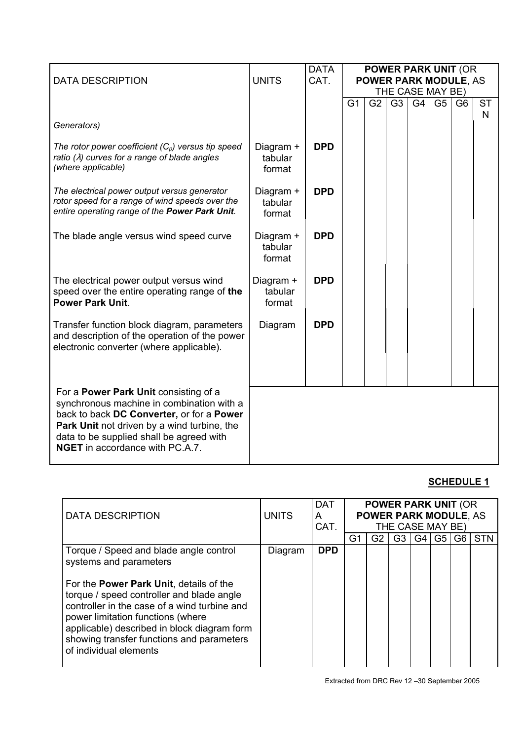|                                                                                                                                                                                                                                                                      |                                | <b>DATA</b> |                                                                                                                                                                          |  |  |  |  |                |                 |
|----------------------------------------------------------------------------------------------------------------------------------------------------------------------------------------------------------------------------------------------------------------------|--------------------------------|-------------|--------------------------------------------------------------------------------------------------------------------------------------------------------------------------|--|--|--|--|----------------|-----------------|
| <b>DATA DESCRIPTION</b>                                                                                                                                                                                                                                              | <b>UNITS</b>                   | CAT.        |                                                                                                                                                                          |  |  |  |  |                |                 |
|                                                                                                                                                                                                                                                                      |                                |             | <b>POWER PARK UNIT (OR</b><br><b>POWER PARK MODULE, AS</b><br>THE CASE MAY BE)<br>G <sub>3</sub><br>G <sub>4</sub><br>G <sub>1</sub><br>G <sub>2</sub><br>G <sub>5</sub> |  |  |  |  |                |                 |
|                                                                                                                                                                                                                                                                      |                                |             |                                                                                                                                                                          |  |  |  |  | G <sub>6</sub> | <b>ST</b><br>N. |
| Generators)                                                                                                                                                                                                                                                          |                                |             |                                                                                                                                                                          |  |  |  |  |                |                 |
| The rotor power coefficient $(C_p)$ versus tip speed<br>ratio $(\lambda)$ curves for a range of blade angles<br>(where applicable)                                                                                                                                   | Diagram +<br>tabular<br>format | <b>DPD</b>  |                                                                                                                                                                          |  |  |  |  |                |                 |
| The electrical power output versus generator<br>rotor speed for a range of wind speeds over the<br>entire operating range of the Power Park Unit.                                                                                                                    | Diagram +<br>tabular<br>format | <b>DPD</b>  |                                                                                                                                                                          |  |  |  |  |                |                 |
| The blade angle versus wind speed curve                                                                                                                                                                                                                              | Diagram +<br>tabular<br>format | <b>DPD</b>  |                                                                                                                                                                          |  |  |  |  |                |                 |
| The electrical power output versus wind<br>speed over the entire operating range of the<br><b>Power Park Unit.</b>                                                                                                                                                   | Diagram +<br>tabular<br>format | <b>DPD</b>  |                                                                                                                                                                          |  |  |  |  |                |                 |
| Transfer function block diagram, parameters<br>and description of the operation of the power<br>electronic converter (where applicable).                                                                                                                             | Diagram                        | <b>DPD</b>  |                                                                                                                                                                          |  |  |  |  |                |                 |
| For a Power Park Unit consisting of a<br>synchronous machine in combination with a<br>back to back DC Converter, or for a Power<br>Park Unit not driven by a wind turbine, the<br>data to be supplied shall be agreed with<br><b>NGET</b> in accordance with PC.A.7. |                                |             |                                                                                                                                                                          |  |  |  |  |                |                 |

| DATA DESCRIPTION                                                                                                                                                                                                                                                                                                                                                            | <b>UNITS</b> | <b>DAT</b><br>A<br>CAT. | <b>POWER PARK UNIT (OR</b><br><b>POWER PARK MODULE, AS</b><br>THE CASE MAY BE) |    |                |    |    |    |            |
|-----------------------------------------------------------------------------------------------------------------------------------------------------------------------------------------------------------------------------------------------------------------------------------------------------------------------------------------------------------------------------|--------------|-------------------------|--------------------------------------------------------------------------------|----|----------------|----|----|----|------------|
|                                                                                                                                                                                                                                                                                                                                                                             |              |                         | G1                                                                             | G2 | G <sub>3</sub> | G4 | G5 | G6 | <b>STN</b> |
| Torque / Speed and blade angle control<br>systems and parameters<br>For the <b>Power Park Unit</b> , details of the<br>torque / speed controller and blade angle<br>controller in the case of a wind turbine and<br>power limitation functions (where<br>applicable) described in block diagram form<br>showing transfer functions and parameters<br>of individual elements | Diagram      | <b>DPD</b>              |                                                                                |    |                |    |    |    |            |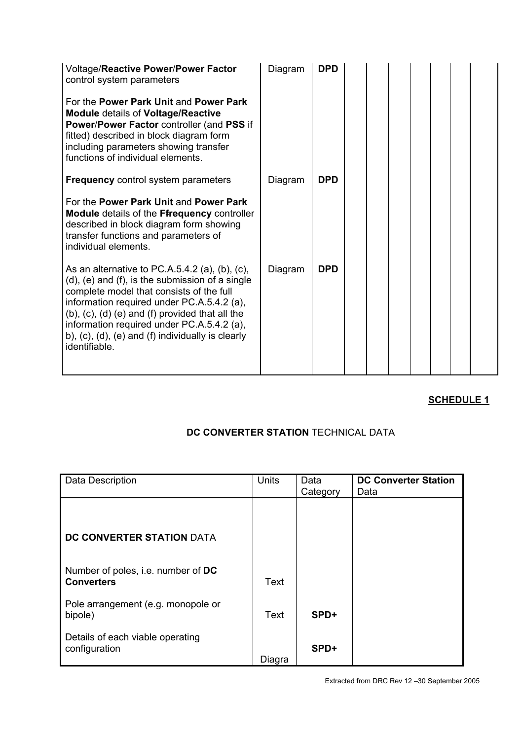| <b>Voltage/Reactive Power/Power Factor</b><br>control system parameters<br>For the Power Park Unit and Power Park<br><b>Module details of Voltage/Reactive</b><br>Power/Power Factor controller (and PSS if<br>fitted) described in block diagram form<br>including parameters showing transfer<br>functions of individual elements.                                       | Diagram | <b>DPD</b> |  |  |  |  |
|----------------------------------------------------------------------------------------------------------------------------------------------------------------------------------------------------------------------------------------------------------------------------------------------------------------------------------------------------------------------------|---------|------------|--|--|--|--|
| <b>Frequency control system parameters</b>                                                                                                                                                                                                                                                                                                                                 | Diagram | <b>DPD</b> |  |  |  |  |
| For the Power Park Unit and Power Park<br>Module details of the Ffrequency controller<br>described in block diagram form showing<br>transfer functions and parameters of<br>individual elements.                                                                                                                                                                           |         |            |  |  |  |  |
| As an alternative to PC.A.5.4.2 (a), (b), (c),<br>$(d)$ , $(e)$ and $(f)$ , is the submission of a single<br>complete model that consists of the full<br>information required under PC.A.5.4.2 (a),<br>(b), (c), (d) (e) and (f) provided that all the<br>information required under PC.A.5.4.2 (a),<br>b), (c), (d), (e) and (f) individually is clearly<br>identifiable. | Diagram | <b>DPD</b> |  |  |  |  |

## **DC CONVERTER STATION** TECHNICAL DATA

| Data Description                                        | Units  | Data<br>Category | <b>DC Converter Station</b><br>Data |
|---------------------------------------------------------|--------|------------------|-------------------------------------|
|                                                         |        |                  |                                     |
| DC CONVERTER STATION DATA                               |        |                  |                                     |
| Number of poles, i.e. number of DC<br><b>Converters</b> | Text   |                  |                                     |
| Pole arrangement (e.g. monopole or<br>bipole)           | Text   | SPD+             |                                     |
| Details of each viable operating<br>configuration       | Diagra | SPD+             |                                     |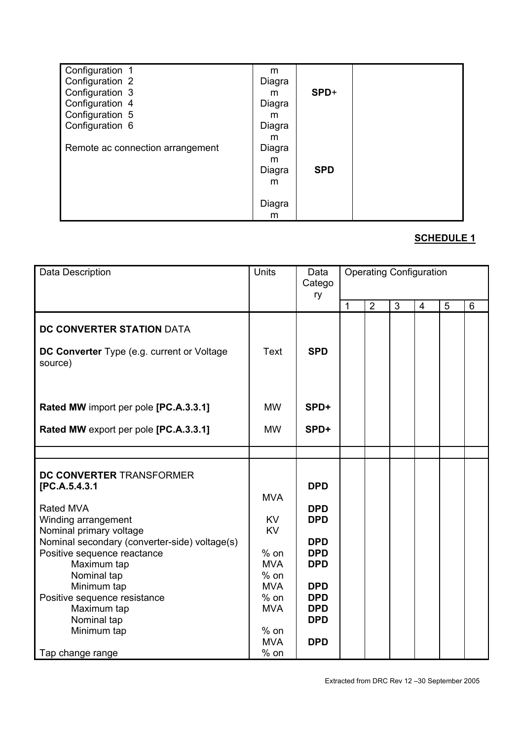| Configuration 1                  | m      |            |  |
|----------------------------------|--------|------------|--|
| Configuration 2                  | Diagra |            |  |
| Configuration 3                  | m      | $SPD+$     |  |
| Configuration 4                  | Diagra |            |  |
| Configuration 5                  | m      |            |  |
| Configuration 6                  | Diagra |            |  |
|                                  | m      |            |  |
| Remote ac connection arrangement | Diagra |            |  |
|                                  | m      |            |  |
|                                  | Diagra | <b>SPD</b> |  |
|                                  | m      |            |  |
|                                  |        |            |  |
|                                  | Diagra |            |  |
|                                  | m      |            |  |

| Data Description                                                                                                                                                                                                                                                                                                                       | Units                                                                                                                                          | Data<br>Catego<br>ry                                                                                                                                   |   |                |                | <b>Operating Configuration</b> |   |                |
|----------------------------------------------------------------------------------------------------------------------------------------------------------------------------------------------------------------------------------------------------------------------------------------------------------------------------------------|------------------------------------------------------------------------------------------------------------------------------------------------|--------------------------------------------------------------------------------------------------------------------------------------------------------|---|----------------|----------------|--------------------------------|---|----------------|
|                                                                                                                                                                                                                                                                                                                                        |                                                                                                                                                |                                                                                                                                                        | 1 | $\overline{2}$ | $\overline{3}$ | $\overline{4}$                 | 5 | $6\phantom{1}$ |
| DC CONVERTER STATION DATA<br>DC Converter Type (e.g. current or Voltage<br>source)                                                                                                                                                                                                                                                     | Text                                                                                                                                           | <b>SPD</b>                                                                                                                                             |   |                |                |                                |   |                |
| Rated MW import per pole [PC.A.3.3.1]<br>Rated MW export per pole [PC.A.3.3.1]                                                                                                                                                                                                                                                         | <b>MW</b><br><b>MW</b>                                                                                                                         | SPD+<br>SPD+                                                                                                                                           |   |                |                |                                |   |                |
|                                                                                                                                                                                                                                                                                                                                        |                                                                                                                                                |                                                                                                                                                        |   |                |                |                                |   |                |
| DC CONVERTER TRANSFORMER<br>[PC.A.5.4.3.1<br>Rated MVA<br>Winding arrangement<br>Nominal primary voltage<br>Nominal secondary (converter-side) voltage(s)<br>Positive sequence reactance<br>Maximum tap<br>Nominal tap<br>Minimum tap<br>Positive sequence resistance<br>Maximum tap<br>Nominal tap<br>Minimum tap<br>Tap change range | <b>MVA</b><br><b>KV</b><br><b>KV</b><br>$%$ on<br><b>MVA</b><br>$%$ on<br><b>MVA</b><br>$%$ on<br><b>MVA</b><br>$%$ on<br><b>MVA</b><br>$%$ on | <b>DPD</b><br><b>DPD</b><br><b>DPD</b><br><b>DPD</b><br><b>DPD</b><br><b>DPD</b><br><b>DPD</b><br><b>DPD</b><br><b>DPD</b><br><b>DPD</b><br><b>DPD</b> |   |                |                |                                |   |                |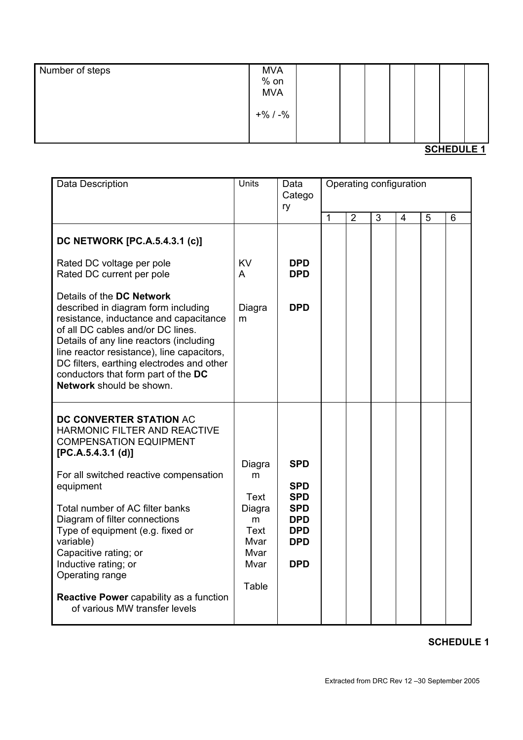| Number of steps | <b>MVA</b><br>$%$ on<br><b>MVA</b> |  |  |  |  |
|-----------------|------------------------------------|--|--|--|--|
|                 | $+$ % / -%                         |  |  |  |  |

| Data Description                                                                                                                                                                                                                                                                                                                                                                                                                           | <b>Units</b>                                                                | Data<br>Catego<br>ry                                                                                         | Operating configuration |                |   |                |   |   |
|--------------------------------------------------------------------------------------------------------------------------------------------------------------------------------------------------------------------------------------------------------------------------------------------------------------------------------------------------------------------------------------------------------------------------------------------|-----------------------------------------------------------------------------|--------------------------------------------------------------------------------------------------------------|-------------------------|----------------|---|----------------|---|---|
|                                                                                                                                                                                                                                                                                                                                                                                                                                            |                                                                             |                                                                                                              | $\mathbf{1}$            | $\overline{2}$ | 3 | $\overline{4}$ | 5 | 6 |
| DC NETWORK [PC.A.5.4.3.1 (c)]                                                                                                                                                                                                                                                                                                                                                                                                              |                                                                             |                                                                                                              |                         |                |   |                |   |   |
| Rated DC voltage per pole<br>Rated DC current per pole                                                                                                                                                                                                                                                                                                                                                                                     | <b>KV</b><br>A                                                              | <b>DPD</b><br><b>DPD</b>                                                                                     |                         |                |   |                |   |   |
| Details of the DC Network<br>described in diagram form including<br>resistance, inductance and capacitance<br>of all DC cables and/or DC lines.<br>Details of any line reactors (including<br>line reactor resistance), line capacitors,<br>DC filters, earthing electrodes and other<br>conductors that form part of the DC<br>Network should be shown.                                                                                   | Diagra<br>m                                                                 | <b>DPD</b>                                                                                                   |                         |                |   |                |   |   |
| DC CONVERTER STATION AC<br>HARMONIC FILTER AND REACTIVE<br><b>COMPENSATION EQUIPMENT</b><br>[PC.A.5.4.3.1 (d)]<br>For all switched reactive compensation<br>equipment<br>Total number of AC filter banks<br>Diagram of filter connections<br>Type of equipment (e.g. fixed or<br>variable)<br>Capacitive rating; or<br>Inductive rating; or<br>Operating range<br>Reactive Power capability as a function<br>of various MW transfer levels | Diagra<br>m<br>Text<br>Diagra<br>m<br>Text<br>Mvar<br>Mvar<br>Mvar<br>Table | <b>SPD</b><br><b>SPD</b><br><b>SPD</b><br><b>SPD</b><br><b>DPD</b><br><b>DPD</b><br><b>DPD</b><br><b>DPD</b> |                         |                |   |                |   |   |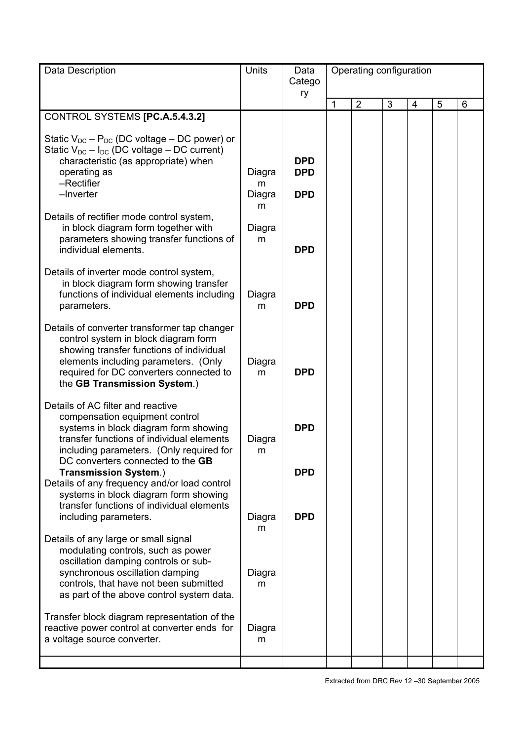| Data Description                                                                                                                                                                                                                                    | Units                      | Data<br>Catego                         | Operating configuration |                |   |   |   |   |  |
|-----------------------------------------------------------------------------------------------------------------------------------------------------------------------------------------------------------------------------------------------------|----------------------------|----------------------------------------|-------------------------|----------------|---|---|---|---|--|
|                                                                                                                                                                                                                                                     |                            | ry                                     | 1                       | $\overline{2}$ | 3 | 4 | 5 | 6 |  |
| CONTROL SYSTEMS [PC.A.5.4.3.2]                                                                                                                                                                                                                      |                            |                                        |                         |                |   |   |   |   |  |
| Static $V_{DC}$ – $P_{DC}$ (DC voltage – DC power) or<br>Static $V_{DC} - I_{DC}$ (DC voltage – DC current)<br>characteristic (as appropriate) when<br>operating as<br>-Rectifier<br>-Inverter                                                      | Diagra<br>m<br>Diagra<br>m | <b>DPD</b><br><b>DPD</b><br><b>DPD</b> |                         |                |   |   |   |   |  |
| Details of rectifier mode control system,<br>in block diagram form together with<br>parameters showing transfer functions of<br>individual elements.                                                                                                | Diagra<br>m                | <b>DPD</b>                             |                         |                |   |   |   |   |  |
| Details of inverter mode control system,<br>in block diagram form showing transfer<br>functions of individual elements including<br>parameters.                                                                                                     | Diagra<br>m                | <b>DPD</b>                             |                         |                |   |   |   |   |  |
| Details of converter transformer tap changer<br>control system in block diagram form<br>showing transfer functions of individual<br>elements including parameters. (Only<br>required for DC converters connected to<br>the GB Transmission System.) | Diagra<br>m                | <b>DPD</b>                             |                         |                |   |   |   |   |  |
| Details of AC filter and reactive<br>compensation equipment control<br>systems in block diagram form showing<br>transfer functions of individual elements<br>including parameters. (Only required for<br>DC converters connected to the GB          | Diagra<br>m                | <b>DPD</b>                             |                         |                |   |   |   |   |  |
| <b>Transmission System.)</b><br>Details of any frequency and/or load control<br>systems in block diagram form showing<br>transfer functions of individual elements<br>including parameters.                                                         | Diagra                     | <b>DPD</b><br><b>DPD</b>               |                         |                |   |   |   |   |  |
| Details of any large or small signal<br>modulating controls, such as power<br>oscillation damping controls or sub-<br>synchronous oscillation damping<br>controls, that have not been submitted<br>as part of the above control system data.        | m<br>Diagra<br>m           |                                        |                         |                |   |   |   |   |  |
| Transfer block diagram representation of the<br>reactive power control at converter ends for<br>a voltage source converter.                                                                                                                         | Diagra<br>m                |                                        |                         |                |   |   |   |   |  |
|                                                                                                                                                                                                                                                     |                            |                                        |                         |                |   |   |   |   |  |